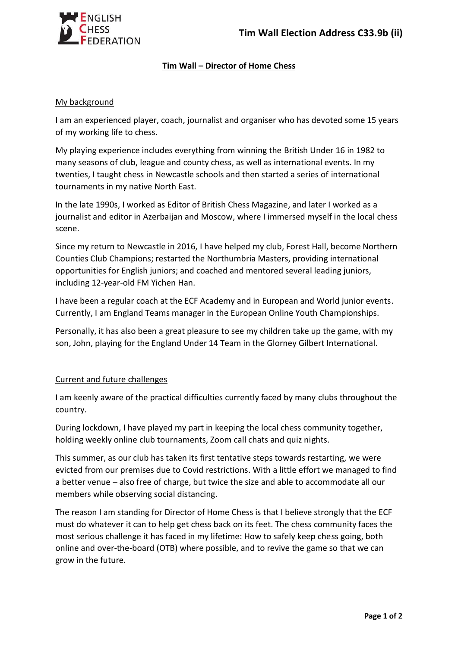

## **Tim Wall – Director of Home Chess**

## My background

I am an experienced player, coach, journalist and organiser who has devoted some 15 years of my working life to chess.

My playing experience includes everything from winning the British Under 16 in 1982 to many seasons of club, league and county chess, as well as international events. In my twenties, I taught chess in Newcastle schools and then started a series of international tournaments in my native North East.

In the late 1990s, I worked as Editor of British Chess Magazine, and later I worked as a journalist and editor in Azerbaijan and Moscow, where I immersed myself in the local chess scene.

Since my return to Newcastle in 2016, I have helped my club, Forest Hall, become Northern Counties Club Champions; restarted the Northumbria Masters, providing international opportunities for English juniors; and coached and mentored several leading juniors, including 12-year-old FM Yichen Han.

I have been a regular coach at the ECF Academy and in European and World junior events. Currently, I am England Teams manager in the European Online Youth Championships.

Personally, it has also been a great pleasure to see my children take up the game, with my son, John, playing for the England Under 14 Team in the Glorney Gilbert International.

## Current and future challenges

I am keenly aware of the practical difficulties currently faced by many clubs throughout the country.

During lockdown, I have played my part in keeping the local chess community together, holding weekly online club tournaments, Zoom call chats and quiz nights.

This summer, as our club has taken its first tentative steps towards restarting, we were evicted from our premises due to Covid restrictions. With a little effort we managed to find a better venue – also free of charge, but twice the size and able to accommodate all our members while observing social distancing.

The reason I am standing for Director of Home Chess is that I believe strongly that the ECF must do whatever it can to help get chess back on its feet. The chess community faces the most serious challenge it has faced in my lifetime: How to safely keep chess going, both online and over-the-board (OTB) where possible, and to revive the game so that we can grow in the future.